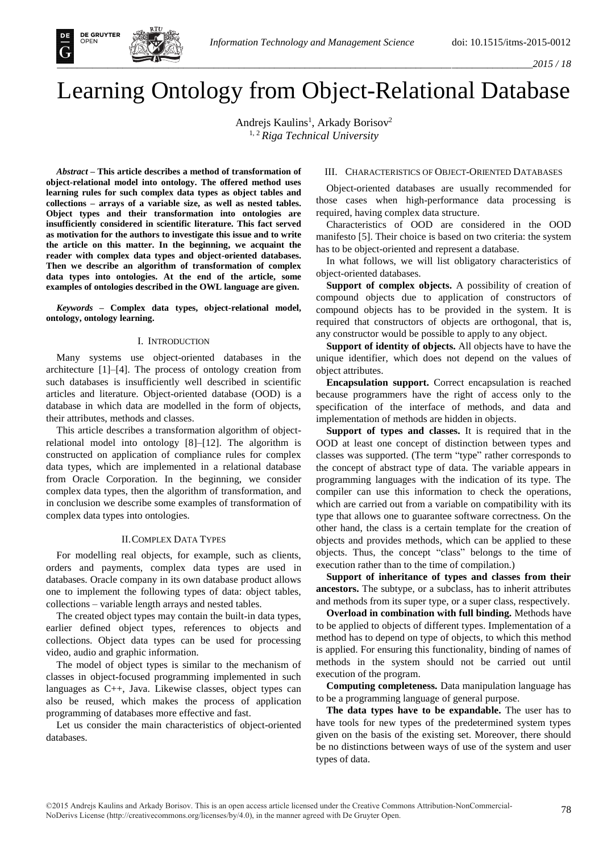

# Learning Ontology from Object-Relational Database

Andrejs Kaulins<sup>1</sup>, Arkady Borisov<sup>2</sup> 1, 2 *Riga Technical University*

*Abstract* **– This article describes a method of transformation of object-relational model into ontology. The offered method uses learning rules for such complex data types as object tables and collections – arrays of a variable size, as well as nested tables. Object types and their transformation into ontologies are insufficiently considered in scientific literature. This fact served as motivation for the authors to investigate this issue and to write the article on this matter. In the beginning, we acquaint the reader with complex data types and object-oriented databases. Then we describe an algorithm of transformation of complex data types into ontologies. At the end of the article, some examples of ontologies described in the OWL language are given.** 

*Keywords* **– Complex data types, object-relational model, ontology, ontology learning.** 

## I. INTRODUCTION

Many systems use object-oriented databases in the architecture [1]–[4]. The process of ontology creation from such databases is insufficiently well described in scientific articles and literature. Object-oriented database (OOD) is a database in which data are modelled in the form of objects, their attributes, methods and classes.

This article describes a transformation algorithm of objectrelational model into ontology [8]–[12]. The algorithm is constructed on application of compliance rules for complex data types, which are implemented in a relational database from Oracle Corporation. In the beginning, we consider complex data types, then the algorithm of transformation, and in conclusion we describe some examples of transformation of complex data types into ontologies.

# II.COMPLEX DATA TYPES

For modelling real objects, for example, such as clients, orders and payments, complex data types are used in databases. Oracle company in its own database product allows one to implement the following types of data: object tables, collections – variable length arrays and nested tables.

The created object types may contain the built-in data types, earlier defined object types, references to objects and collections. Object data types can be used for processing video, audio and graphic information.

The model of object types is similar to the mechanism of classes in object-focused programming implemented in such languages as C++, Java. Likewise classes, object types can also be reused, which makes the process of application programming of databases more effective and fast.

Let us consider the main characteristics of object-oriented databases.

# III. CHARACTERISTICS OF OBJECT-ORIENTED DATABASES

Object-oriented databases are usually recommended for those cases when high-performance data processing is required, having complex data structure.

Characteristics of OOD are considered in the OOD manifesto [5]. Their choice is based on two criteria: the system has to be object-oriented and represent a database.

In what follows, we will list obligatory characteristics of object-oriented databases.

**Support of complex objects.** A possibility of creation of compound objects due to application of constructors of compound objects has to be provided in the system. It is required that constructors of objects are orthogonal, that is, any constructor would be possible to apply to any object.

**Support of identity of objects.** All objects have to have the unique identifier, which does not depend on the values of object attributes.

**Encapsulation support.** Correct encapsulation is reached because programmers have the right of access only to the specification of the interface of methods, and data and implementation of methods are hidden in objects.

**Support of types and classes.** It is required that in the OOD at least one concept of distinction between types and classes was supported. (The term "type" rather corresponds to the concept of abstract type of data. The variable appears in programming languages with the indication of its type. The compiler can use this information to check the operations, which are carried out from a variable on compatibility with its type that allows one to guarantee software correctness. On the other hand, the class is a certain template for the creation of objects and provides methods, which can be applied to these objects. Thus, the concept "class" belongs to the time of execution rather than to the time of compilation.)

**Support of inheritance of types and classes from their ancestors.** The subtype, or a subclass, has to inherit attributes and methods from its super type, or a super class, respectively.

**Overload in combination with full binding.** Methods have to be applied to objects of different types. Implementation of a method has to depend on type of objects, to which this method is applied. For ensuring this functionality, binding of names of methods in the system should not be carried out until execution of the program.

**Computing completeness.** Data manipulation language has to be a programming language of general purpose.

**The data types have to be expandable.** The user has to have tools for new types of the predetermined system types given on the basis of the existing set. Moreover, there should be no distinctions between ways of use of the system and user types of data.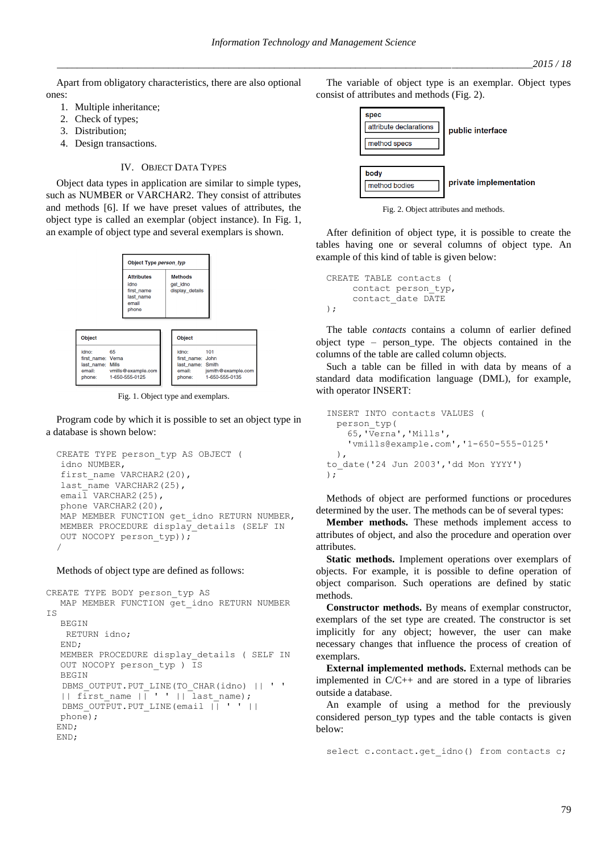Apart from obligatory characteristics, there are also optional ones:

- 1. Multiple inheritance;
- 2. Check of types;
- 3. Distribution;
- 4. Design transactions.

# IV. OBJECT DATA TYPES

Object data types in application are similar to simple types, such as NUMBER or VARCHAR2. They consist of attributes and methods [6]. If we have preset values of attributes, the object type is called an exemplar (object instance). In Fig. 1, an example of object type and several exemplars is shown.



Fig. 1. Object type and exemplars.

Program code by which it is possible to set an object type in a database is shown below:

```
CREATE TYPE person_typ AS OBJECT ( 
idno NUMBER, 
first name VARCHAR2(20),
last_name VARCHAR2(25),
email VARCHAR2(25),
phone VARCHAR2(20), 
MAP MEMBER FUNCTION get idno RETURN NUMBER,
MEMBER PROCEDURE display details (SELF IN
OUT NOCOPY person_typ));
/
```
#### Methods of object type are defined as follows:

```
CREATE TYPE BODY person_typ AS 
  MAP MEMBER FUNCTION get_idno RETURN NUMBER
IS 
  BEGIN 
   RETURN idno; 
  END; 
  MEMBER PROCEDURE display_details ( SELF IN 
  OUT NOCOPY person_typ ) IS 
  BEGIN 
  DBMS_OUTPUT.PUT_LINE(TO_CHAR(idno) || ' '
  || first name |\bar{ } \cdot | ' | last name);
  DBMS OUTPUT.PUT LINE(email || ' ' ||
  phone); 
 END;
 END;
```
The variable of object type is an exemplar. Object types consist of attributes and methods (Fig. 2).



Fig. 2. Object attributes and methods.

After definition of object type, it is possible to create the tables having one or several columns of object type. An example of this kind of table is given below:

```
CREATE TABLE contacts (
    contact person_typ,
    contact_date DATE
);
```
The table *contacts* contains a column of earlier defined object type – person\_type. The objects contained in the columns of the table are called column objects.

Such a table can be filled in with data by means of a standard data modification language (DML), for example, with operator INSERT:

```
INSERT INTO contacts VALUES ( 
 person_typ(
    65,'Verna','Mills',
    'vmills@example.com','1-650-555-0125'
 ),
to_date('24 Jun 2003','dd Mon YYYY')
);
```
Methods of object are performed functions or procedures determined by the user. The methods can be of several types:

**Member methods.** These methods implement access to attributes of object, and also the procedure and operation over attributes.

**Static methods.** Implement operations over exemplars of objects. For example, it is possible to define operation of object comparison. Such operations are defined by static methods.

**Constructor methods.** By means of exemplar constructor, exemplars of the set type are created. The constructor is set implicitly for any object; however, the user can make necessary changes that influence the process of creation of exemplars.

**External implemented methods.** External methods can be implemented in C/C++ and are stored in a type of libraries outside a database.

An example of using a method for the previously considered person\_typ types and the table contacts is given below:

select c.contact.get idno() from contacts c;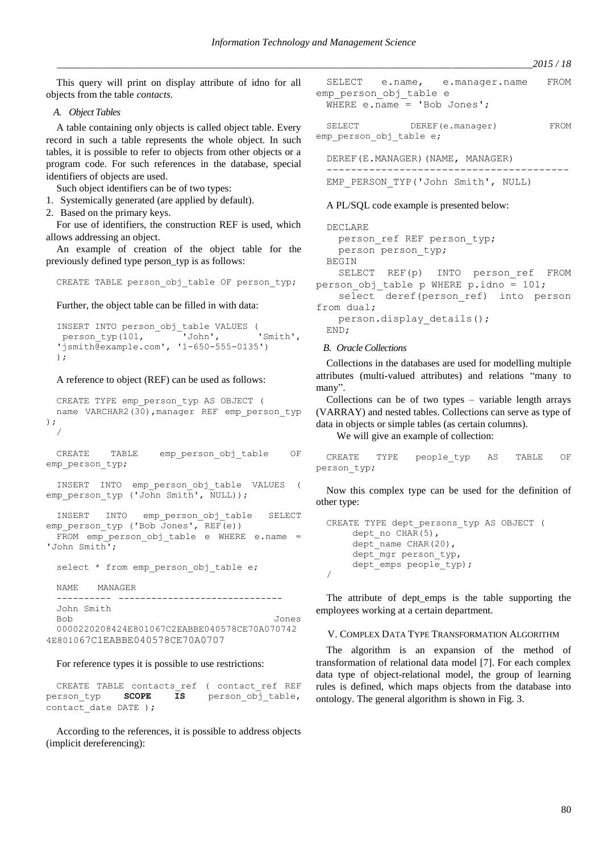*\_\_\_\_\_\_\_\_\_\_\_\_\_\_\_\_\_\_\_\_\_\_\_\_\_\_\_\_\_\_\_\_\_\_\_\_\_\_\_\_\_\_\_\_\_\_\_\_\_\_\_\_\_\_\_\_\_\_\_\_\_\_\_\_\_\_\_\_\_\_\_\_\_\_\_\_\_\_\_\_\_\_\_\_\_\_\_\_\_\_\_\_\_\_2015 / 18*

This query will print on display attribute of idno for all objects from the table *contacts*.

*A. Object Tables*

A table containing only objects is called object table. Every record in such a table represents the whole object. In such tables, it is possible to refer to objects from other objects or a program code. For such references in the database, special identifiers of objects are used.

Such object identifiers can be of two types:

1. Systemically generated (are applied by default).

2. Based on the primary keys.

For use of identifiers, the construction REF is used, which allows addressing an object.

An example of creation of the object table for the previously defined type person\_typ is as follows:

CREATE TABLE person\_obj\_table OF person\_typ;

Further, the object table can be filled in with data:

INSERT INTO person\_obj\_table VALUES ( person\_typ(101, 'John', 'Smith', 'jsmith@example.com', '1-650-555-0135') );

A reference to object (REF) can be used as follows:

```
CREATE TYPE emp_person_typ AS OBJECT ( 
 name VARCHAR2(30), manager REF emp person typ
);
  /
```

```
CREATE TABLE emp_person_obj_table OF
emp_person_typ;
```
INSERT INTO emp\_person\_obj\_table VALUES ( emp\_person\_typ ('John Smith', NULL));

INSERT INTO emp\_person\_obj\_table SELECT emp\_person\_typ ('Bob Jones', REF(e))

```
FROM emp person obj table e WHERE e.name =
'John Smith';
```
select \* from emp person obj table e;

NAME MANAGER ---------- ------------------------------ John Smith Bob Jones 0000220208424E801067C2EABBE040578CE70A070742

4E801067C1EABBE040578CE70A0707

# For reference types it is possible to use restrictions:

CREATE TABLE contacts ref ( contact ref REF person typ **SCOPE IS** person obj table, contact date DATE );

According to the references, it is possible to address objects (implicit dereferencing):

SELECT e.name, e.manager.name FROM emp\_person\_obj\_table e WHERE e.name = 'Bob Jones';

SELECT DEREF(e.manager) FROM emp\_person\_obj\_table e;

DEREF(E.MANAGER)(NAME, MANAGER) ----------------------------------------

```
EMP_PERSON_TYP('John Smith', NULL)
```
# A PL/SQL code example is presented below:

DECLARE person\_ref REF person\_typ; person person\_typ; BEGIN SELECT REF(p) INTO person\_ref FROM person\_obj\_table p WHERE p.idno = 101; select deref(person ref) into person from dual; person.display details(); END;

# *B. Oracle Collections*

Collections in the databases are used for modelling multiple attributes (multi-valued attributes) and relations "many to many".

Collections can be of two types – variable length arrays (VARRAY) and nested tables. Collections can serve as type of data in objects or simple tables (as certain columns).

We will give an example of collection:

```
CREATE TYPE people_typ AS TABLE OF
person_typ;
```
Now this complex type can be used for the definition of other type:

```
CREATE TYPE dept_persons_typ AS OBJECT ( 
     dept no CHAR(5),
     dept_name CHAR(20), 
     dept mgr person typ,
     dept emps people typ);
/
```
The attribute of dept\_emps is the table supporting the employees working at a certain department.

# V. COMPLEX DATA TYPE TRANSFORMATION ALGORITHM

The algorithm is an expansion of the method of transformation of relational data model [7]. For each complex data type of object-relational model, the group of learning rules is defined, which maps objects from the database into ontology. The general algorithm is shown in Fig. 3.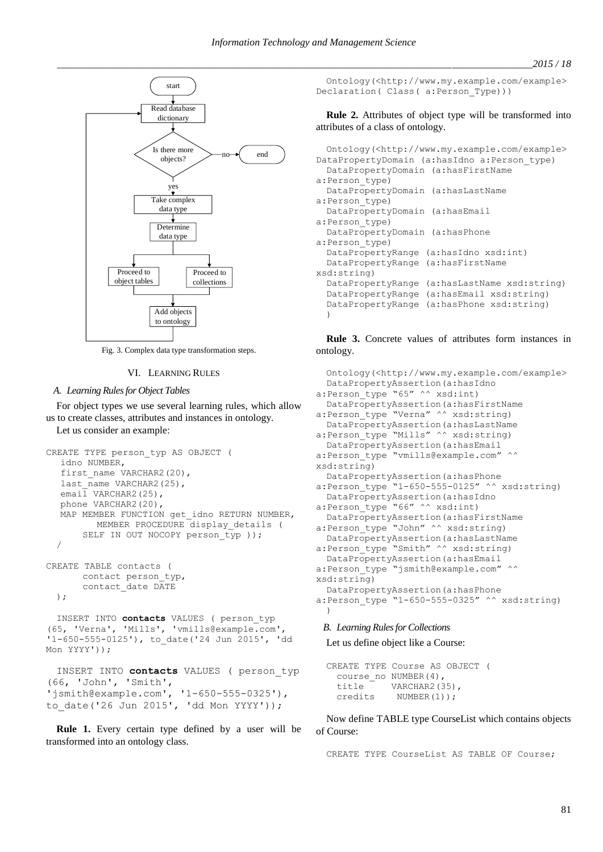

Fig. 3. Complex data type transformation steps.

# VI. LEARNING RULES

#### *A. Learning Rules for Object Tables*

For object types we use several learning rules, which allow us to create classes, attributes and instances in ontology.

Let us consider an example:

```
CREATE TYPE person_typ AS OBJECT ( 
  idno NUMBER, 
  first name VARCHAR2(20),
  last_name VARCHAR2(25),
  email VARCHAR2(25),
  phone VARCHAR2(20),
  MAP MEMBER FUNCTION get idno RETURN NUMBER,
         MEMBER PROCEDURE display details (
      SELF IN OUT NOCOPY person_typ ));
  /
CREATE TABLE contacts ( 
      contact person_typ, 
      contact_date DATE
 );
```
INSERT INTO **contacts** VALUES ( person\_typ (65, 'Verna', 'Mills', 'vmills@example.com', '1-650-555-0125'), to\_date('24 Jun 2015', 'dd Mon YYYY'));

```
INSERT INTO contacts VALUES ( person_typ
(66, 'John', 'Smith', 
'jsmith@example.com', '1-650-555-0325'), 
to_date('26 Jun 2015', 'dd Mon YYYY'));
```
**Rule 1.** Every certain type defined by a user will be transformed into an ontology class.

Ontology(<http://www.my.example.com/example> Declaration( Class( a:Person\_Type)))

**Rule 2.** Attributes of object type will be transformed into attributes of a class of ontology.

```
Ontology(<http://www.my.example.com/example>
DataPropertyDomain (a:hasIdno a:Person_type)
  DataPropertyDomain (a:hasFirstName 
a:Person_type)
 DataPropertyDomain (a:hasLastName 
a:Person_type)
  DataPropertyDomain (a:hasEmail 
a:Person_type)
  DataPropertyDomain (a:hasPhone 
a:Person_type)
  DataPropertyRange (a:hasIdno xsd:int)
  DataPropertyRange (a:hasFirstName 
xsd:string)
  DataPropertyRange (a:hasLastName xsd:string)
  DataPropertyRange (a:hasEmail xsd:string)
  DataPropertyRange (a:hasPhone xsd:string)
  )
```
**Rule 3.** Concrete values of attributes form instances in ontology.

```
Ontology(<http://www.my.example.com/example>
  DataPropertyAssertion(a:hasIdno 
a:Person_type "65" ^^ xsd:int)
  DataPropertyAssertion(a:hasFirstName 
a:Person type "Verna" ^^ xsd:string)
  DataPropertyAssertion(a:hasLastName 
a:Person_type "Mills" ^^ xsd:string)
  DataPropertyAssertion(a:hasEmail 
a:Person_type "vmills@example.com" ^^
xsd:string)
  DataPropertyAssertion(a:hasPhone 
a:Person_type "1-650-555-0125" ^^ xsd:string)
  DataPropertyAssertion(a:hasIdno 
a:Person_type "66" ^^ xsd:int)
  DataPropertyAssertion(a:hasFirstName 
a:Person type "John" ^^ xsd:string)
  DataPropertyAssertion(a:hasLastName 
a:Person_type "Smith" ^^ xsd:string)
  DataPropertyAssertion(a:hasEmail 
a:Person_type "jsmith@example.com" ^^
xsd:string)
  DataPropertyAssertion(a:hasPhone 
a:Person_type "1-650-555-0325" ^^ xsd:string)
  )
```
# *B. Learning Rules for Collections*

Let us define object like a Course:

```
CREATE TYPE Course AS OBJECT (
 course_no NUMBER(4),
 title VARCHAR2(35),
 credits NUMBER(1));
```
Now define TABLE type CourseList which contains objects of Course:

CREATE TYPE CourseList AS TABLE OF Course;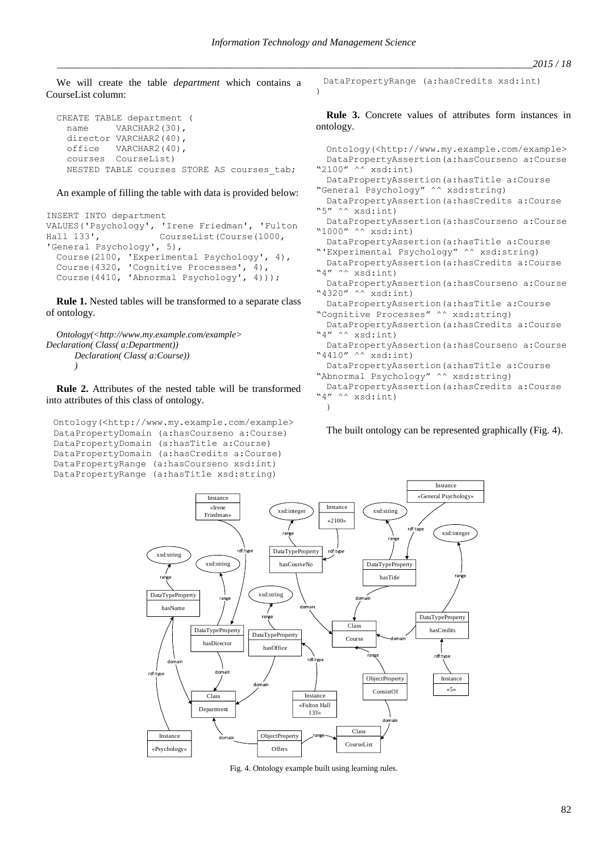We will create the table *department* which contains a CourseList column:

```
CREATE TABLE department (
  name VARCHAR2(30),
  director VARCHAR2(40),
  office VARCHAR2(40),<br>courses CourseList)
           CourseList)
  NESTED TABLE courses STORE AS courses tab;
```
An example of filling the table with data is provided below:

```
INSERT INTO department 
VALUES('Psychology', 'Irene Friedman', 'Fulton 
Hall 133', CourseList(Course(1000,
'General Psychology', 5),
 Course(2100, 'Experimental Psychology', 4),
 Course(4320, 'Cognitive Processes', 4),
 Course(4410, 'Abnormal Psychology', 4)));
```
**Rule 1.** Nested tables will be transformed to a separate class of ontology.

```
Ontology(<http://www.my.example.com/example>
Declaration( Class( a:Department))
       Declaration( Class( a:Course))
       )
```
**Rule 2.** Attributes of the nested table will be transformed into attributes of this class of ontology.

```
Ontology(<http://www.my.example.com/example>
DataPropertyDomain (a:hasCourseno a:Course)
DataPropertyDomain (a:hasTitle a:Course)
DataPropertyDomain (a:hasCredits a:Course)
DataPropertyRange (a:hasCourseno xsd:int)
DataPropertyRange (a:hasTitle xsd:string)
```
DataPropertyRange (a:hasCredits xsd:int) )

**Rule 3.** Concrete values of attributes form instances in ontology.

```
Ontology(<http://www.my.example.com/example>
 DataPropertyAssertion(a:hasCourseno a:Course 
"2100" ^^ xsd:int)
 DataPropertyAssertion(a:hasTitle a:Course 
"General Psychology" ^^ xsd:string)
 DataPropertyAssertion(a:hasCredits a:Course 
"5" ^^ xsd:int)
 DataPropertyAssertion(a:hasCourseno a:Course 
"1000'' ^^ xsd:int)
 DataPropertyAssertion(a:hasTitle a:Course 
"'Experimental Psychology" ^^ xsd:string)
 DataPropertyAssertion(a:hasCredits a:Course 
"4" ^^ xsd:int)
 DataPropertyAssertion(a:hasCourseno a:Course 
"4320" ^^ xsd:int)
 DataPropertyAssertion(a:hasTitle a:Course 
"Cognitive Processes" ^^ xsd:string)
 DataPropertyAssertion(a:hasCredits a:Course 
"4" ^^ xsd:int)
 DataPropertyAssertion(a:hasCourseno a:Course 
"4410" ^^ xsd:int)
 DataPropertyAssertion(a:hasTitle a:Course 
"Abnormal Psychology" ^^ xsd:string)
 DataPropertyAssertion(a:hasCredits a:Course 
"4" ^^ xsd:int)
 )
```
The built ontology can be represented graphically (Fig. 4).



Fig. 4. Ontology example built using learning rules.